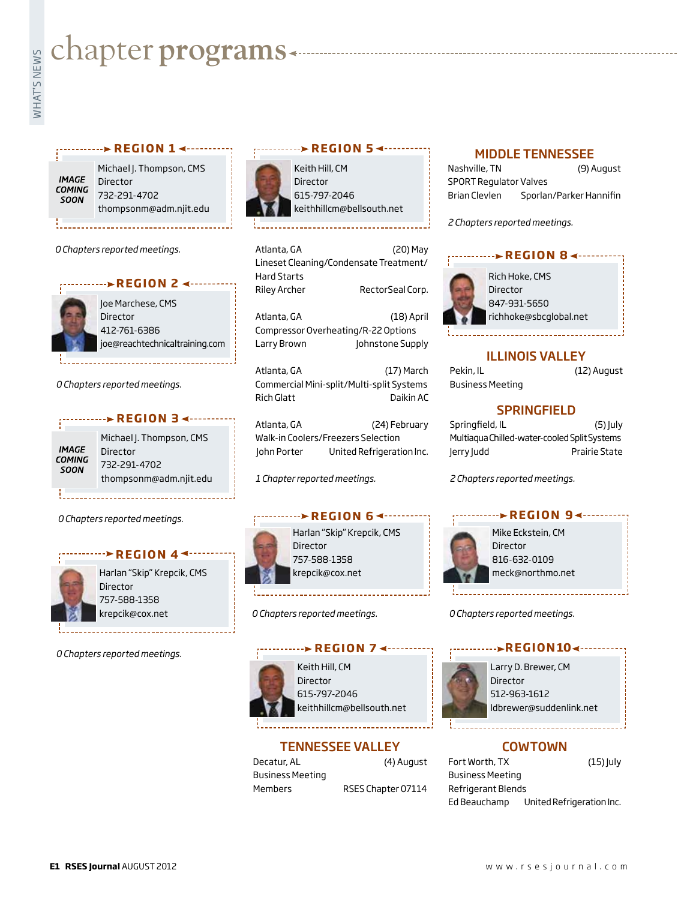# **whater programs**<br>Example:<br>Fig. 1

#### **r e g i o n 1**

**IMAGE COMING** SOON

Michael J. Thompson, CMS Director 732-291-4702 thompsonm@adm.njit.edu

*0 Chapters reported meetings.*



Joe Marchese, CMS **Director** 412-761-6386 joe@reachtechnicaltraining.com

*0 Chapters reported meetings.*

## *r* **e g i o n 3** Michael J. Thompson, CMS **IMAGE**

Director COMING 732-291-4702 SOON thompsonm@adm.njit.edu

*0 Chapters reported meetings.*

#### *<u>REGION 44......</u>*



Harlan "Skip" Krepcik, CMS Director 757-588-1358 krepcik@cox.net

*0 Chapters reported meetings.*

# **r e g i o n 5**

Keith Hill, CM Director 615-797-2046 keithhillcm@bellsouth.net

Atlanta, GA (20) May Lineset Cleaning/Condensate Treatment/ Hard Starts Riley Archer RectorSeal Corp. Atlanta, GA (18) April Compressor Overheating/R-22 Options Larry Brown Johnstone Supply

Atlanta, GA (17) March Commercial Mini-split/Multi-split Systems Rich Glatt Daikin AC

Atlanta, GA (24) February Walk-in Coolers/Freezers Selection John Porter United Refrigeration Inc.

*1 Chapter reported meetings.*

# **REGION 64 --------**



Harlan "Skip" Krepcik, CMS Director 757-588-1358 krepcik@cox.net

*0 Chapters reported meetings.*

# **REGION 7 <--------**



Keith Hill, CM Director 615-797-2046 keithhillcm@bellsouth.net

## TENNESSEE VALLEY

Decatur, AL (4) August Business Meeting

Members RSES Chapter 07114

#### MIDDLE TENNESSEE

| Nashville, TN                 | (9) August              |
|-------------------------------|-------------------------|
| <b>SPORT Regulator Valves</b> |                         |
| Brian Clevlen                 | Sporlan/Parker Hannifin |

*2 Chapters reported meetings.*



#### ILLINOIS VALLEY

| Pekin, IL        | (12) August |
|------------------|-------------|
| Business Meeting |             |

## **SPRINGFIELD**

| Springfield, IL                              | (5) July      |
|----------------------------------------------|---------------|
| Multiagua Chilled-water-cooled Split Systems |               |
| lerry ludd                                   | Prairie State |

*2 Chapters reported meetings.*



Mike Eckstein, CM Director 816-632-0109 meck@northmo.net

*0 Chapters reported meetings.*

#### **REGION104...**



Larry D. Brewer, CM Director 512-963-1612 ldbrewer@suddenlink.net

## COWTOWN

Fort Worth, TX (15) July Business Meeting Refrigerant Blends Ed Beauchamp United Refrigeration Inc.